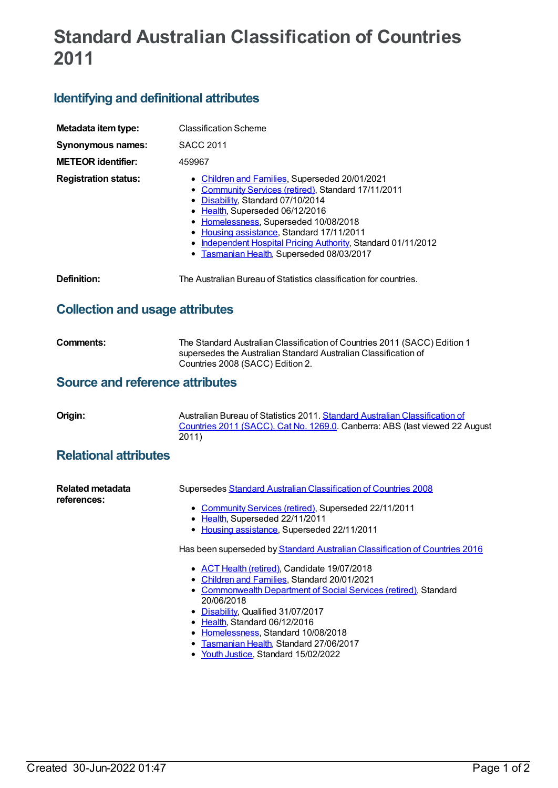# **Standard Australian Classification of Countries 2011**

## **Identifying and definitional attributes**

| Metadata item type:<br><b>Synonymous names:</b><br><b>METEOR</b> identifier: | <b>Classification Scheme</b><br><b>SACC 2011</b><br>459967                                                                                                                                                                                                                                                                                                                    |
|------------------------------------------------------------------------------|-------------------------------------------------------------------------------------------------------------------------------------------------------------------------------------------------------------------------------------------------------------------------------------------------------------------------------------------------------------------------------|
| <b>Registration status:</b>                                                  | • Children and Families, Superseded 20/01/2021<br>• Community Services (retired), Standard 17/11/2011<br>• Disability, Standard 07/10/2014<br>• Health, Superseded 06/12/2016<br>• Homelessness, Superseded 10/08/2018<br>Housing assistance, Standard 17/11/2011<br>Independent Hospital Pricing Authority, Standard 01/11/2012<br>• Tasmanian Health, Superseded 08/03/2017 |
| Definition:                                                                  | The Australian Bureau of Statistics classification for countries.                                                                                                                                                                                                                                                                                                             |

### **Collection and usage attributes**

| <b>Comments:</b> | The Standard Australian Classification of Countries 2011 (SACC) Edition 1 |
|------------------|---------------------------------------------------------------------------|
|                  | supersedes the Australian Standard Australian Classification of           |
|                  | Countries 2008 (SACC) Edition 2.                                          |

#### **Source and reference attributes**

|  | I<br>Н | r |
|--|--------|---|
|  |        |   |

Australian Bureau of Statistics 2011. Standard Australian [Classification](http://www.abs.gov.au/ausstats/abs@.nsf/mf/1269.0) of Countries 2011 (SACC). Cat No. 1269.0. Canberra: ABS (last viewed 22 August 2011)

#### **Relational attributes**

| <b>Related metadata</b><br>references: | Supersedes Standard Australian Classification of Countries 2008                          |
|----------------------------------------|------------------------------------------------------------------------------------------|
|                                        | • Community Services (retired), Superseded 22/11/2011<br>• Health, Superseded 22/11/2011 |
|                                        | • Housing assistance, Superseded 22/11/2011                                              |
|                                        | Has been superseded by Standard Australian Classification of Countries 2016              |
|                                        | • ACT Health (retired), Candidate 19/07/2018                                             |
|                                        | • Children and Families, Standard 20/01/2021                                             |
|                                        | • Commonwealth Department of Social Services (retired), Standard                         |
|                                        | 20/06/2018                                                                               |
|                                        | • Disability, Qualified 31/07/2017                                                       |
|                                        | • Health, Standard 06/12/2016                                                            |
|                                        | • Homelessness, Standard 10/08/2018                                                      |
|                                        | Tasmanian Health, Standard 27/06/2017                                                    |

• Youth [Justice](https://meteor.aihw.gov.au/RegistrationAuthority/4), Standard 15/02/2022